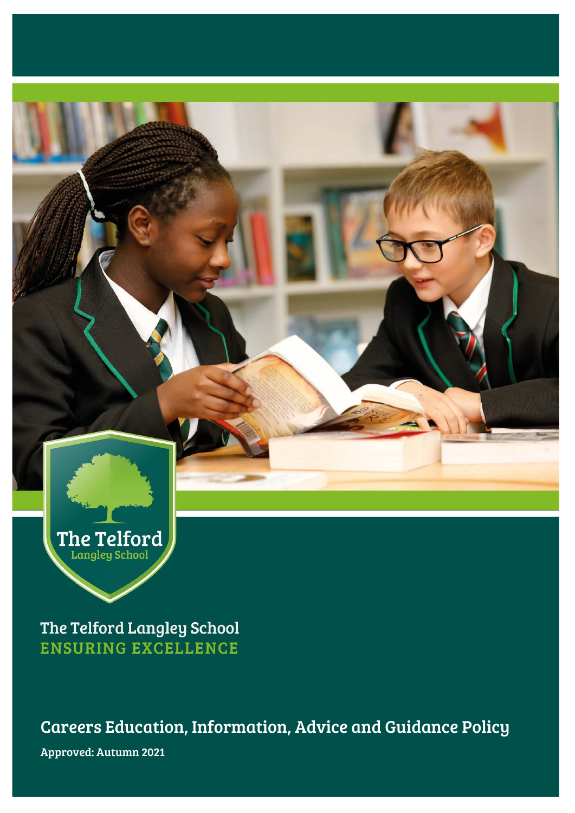

The Telford Langley School **ENSURING EXCELLENCE** 

Careers Education, Information, Advice and Guidance Policy Approved: Autumn 2021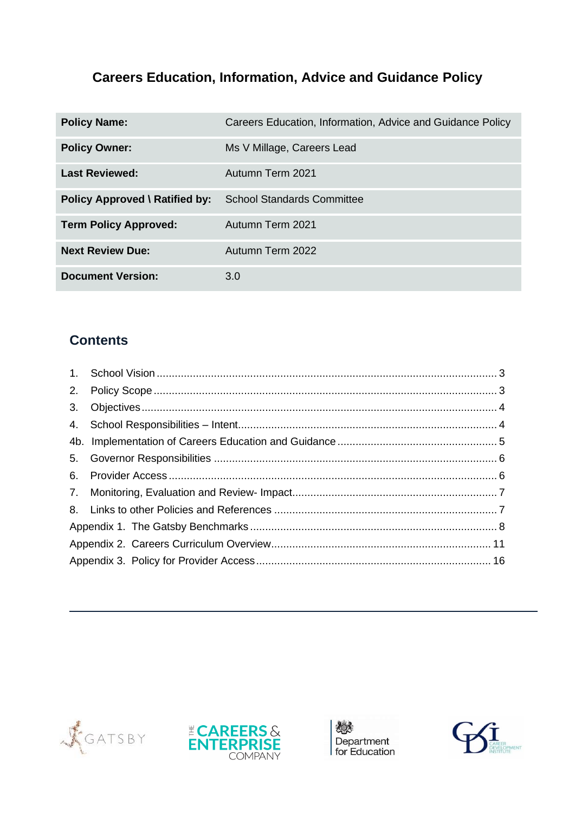# **Careers Education, Information, Advice and Guidance Policy**

| <b>Policy Name:</b>                   | Careers Education, Information, Advice and Guidance Policy |
|---------------------------------------|------------------------------------------------------------|
| <b>Policy Owner:</b>                  | Ms V Millage, Careers Lead                                 |
| <b>Last Reviewed:</b>                 | Autumn Term 2021                                           |
| <b>Policy Approved \ Ratified by:</b> | <b>School Standards Committee</b>                          |
| <b>Term Policy Approved:</b>          | Autumn Term 2021                                           |
| <b>Next Review Due:</b>               | Autumn Term 2022                                           |
| <b>Document Version:</b>              | 3.0                                                        |

# **Contents**

| 2. |  |  |
|----|--|--|
| 3. |  |  |
|    |  |  |
|    |  |  |
| 5. |  |  |
| 6. |  |  |
|    |  |  |
|    |  |  |
|    |  |  |
|    |  |  |
|    |  |  |







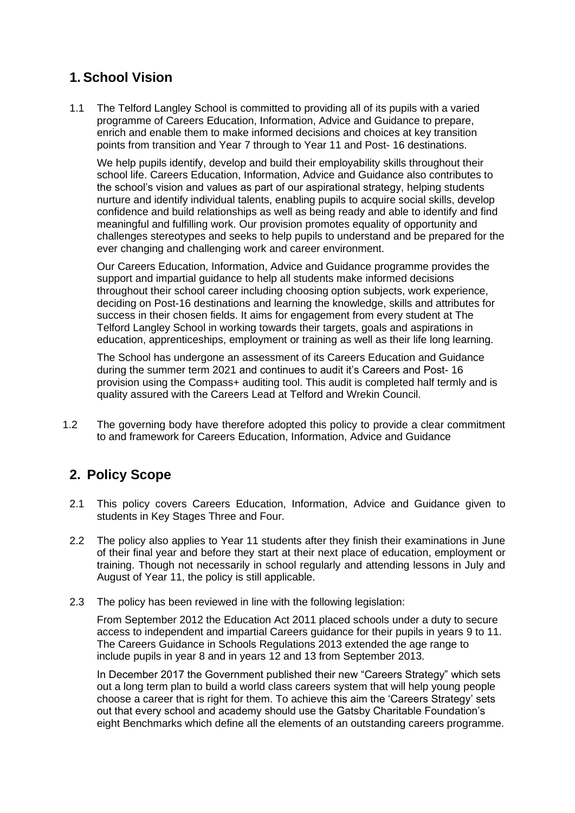# <span id="page-2-0"></span>**1. School Vision**

1.1 The Telford Langley School is committed to providing all of its pupils with a varied programme of Careers Education, Information, Advice and Guidance to prepare, enrich and enable them to make informed decisions and choices at key transition points from transition and Year 7 through to Year 11 and Post- 16 destinations.

We help pupils identify, develop and build their employability skills throughout their school life. Careers Education, Information, Advice and Guidance also contributes to the school's vision and values as part of our aspirational strategy, helping students nurture and identify individual talents, enabling pupils to acquire social skills, develop confidence and build relationships as well as being ready and able to identify and find meaningful and fulfilling work. Our provision promotes equality of opportunity and challenges stereotypes and seeks to help pupils to understand and be prepared for the ever changing and challenging work and career environment.

Our Careers Education, Information, Advice and Guidance programme provides the support and impartial guidance to help all students make informed decisions throughout their school career including choosing option subjects, work experience, deciding on Post-16 destinations and learning the knowledge, skills and attributes for success in their chosen fields. It aims for engagement from every student at The Telford Langley School in working towards their targets, goals and aspirations in education, apprenticeships, employment or training as well as their life long learning.

The School has undergone an assessment of its Careers Education and Guidance during the summer term 2021 and continues to audit it's Careers and Post- 16 provision using the Compass+ auditing tool. This audit is completed half termly and is quality assured with the Careers Lead at Telford and Wrekin Council.

1.2 The governing body have therefore adopted this policy to provide a clear commitment to and framework for Careers Education, Information, Advice and Guidance

# <span id="page-2-1"></span>**2. Policy Scope**

- 2.1 This policy covers Careers Education, Information, Advice and Guidance given to students in Key Stages Three and Four.
- 2.2 The policy also applies to Year 11 students after they finish their examinations in June of their final year and before they start at their next place of education, employment or training. Though not necessarily in school regularly and attending lessons in July and August of Year 11, the policy is still applicable.
- 2.3 The policy has been reviewed in line with the following legislation:

From September 2012 the Education Act 2011 placed schools under a duty to secure access to independent and impartial Careers guidance for their pupils in years 9 to 11. The Careers Guidance in Schools Regulations 2013 extended the age range to include pupils in year 8 and in years 12 and 13 from September 2013.

In December 2017 the Government published their new "Careers Strategy" which sets out a long term plan to build a world class careers system that will help young people choose a career that is right for them. To achieve this aim the 'Careers Strategy' sets out that every school and academy should use the Gatsby Charitable Foundation's eight Benchmarks which define all the elements of an outstanding careers programme.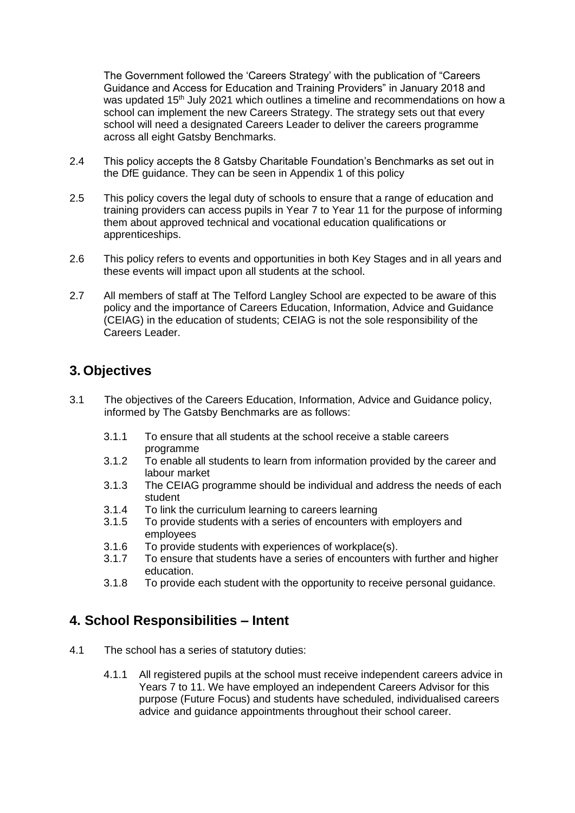The Government followed the 'Careers Strategy' with the publication of "Careers Guidance and Access for Education and Training Providers" in January 2018 and was updated 15<sup>th</sup> July 2021 which outlines a timeline and recommendations on how a school can implement the new Careers Strategy. The strategy sets out that every school will need a designated Careers Leader to deliver the careers programme across all eight Gatsby Benchmarks.

- 2.4 This policy accepts the 8 Gatsby Charitable Foundation's Benchmarks as set out in the DfE guidance. They can be seen in Appendix 1 of this policy
- 2.5 This policy covers the legal duty of schools to ensure that a range of education and training providers can access pupils in Year 7 to Year 11 for the purpose of informing them about approved technical and vocational education qualifications or apprenticeships.
- 2.6 This policy refers to events and opportunities in both Key Stages and in all years and these events will impact upon all students at the school.
- 2.7 All members of staff at The Telford Langley School are expected to be aware of this policy and the importance of Careers Education, Information, Advice and Guidance (CEIAG) in the education of students; CEIAG is not the sole responsibility of the Careers Leader.

### <span id="page-3-0"></span>**3. Objectives**

- 3.1 The objectives of the Careers Education, Information, Advice and Guidance policy, informed by The Gatsby Benchmarks are as follows:
	- 3.1.1 To ensure that all students at the school receive a stable careers programme
	- 3.1.2 To enable all students to learn from information provided by the career and labour market
	- 3.1.3 The CEIAG programme should be individual and address the needs of each student
	- 3.1.4 To link the curriculum learning to careers learning
	- 3.1.5 To provide students with a series of encounters with employers and employees
	- 3.1.6 To provide students with experiences of workplace(s).
	- 3.1.7 To ensure that students have a series of encounters with further and higher education.
	- 3.1.8 To provide each student with the opportunity to receive personal guidance.

### <span id="page-3-1"></span>**4. School Responsibilities – Intent**

- 4.1 The school has a series of statutory duties:
	- 4.1.1 All registered pupils at the school must receive independent careers advice in Years 7 to 11. We have employed an independent Careers Advisor for this purpose (Future Focus) and students have scheduled, individualised careers advice and guidance appointments throughout their school career.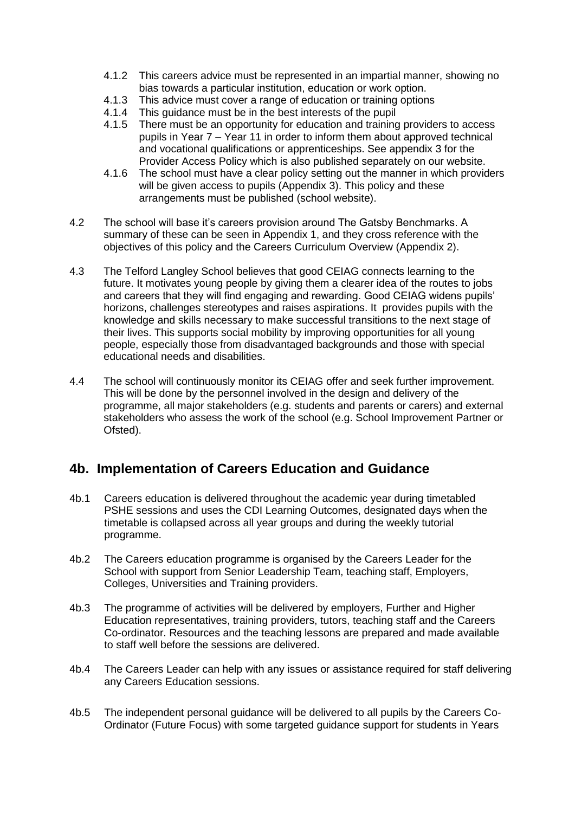- 4.1.2 This careers advice must be represented in an impartial manner, showing no bias towards a particular institution, education or work option.
- 4.1.3 This advice must cover a range of education or training options
- 4.1.4 This guidance must be in the best interests of the pupil
- 4.1.5 There must be an opportunity for education and training providers to access pupils in Year 7 – Year 11 in order to inform them about approved technical and vocational qualifications or apprenticeships. See appendix 3 for the Provider Access Policy which is also published separately on our website.
- 4.1.6 The school must have a clear policy setting out the manner in which providers will be given access to pupils (Appendix 3). This policy and these arrangements must be published (school website).
- 4.2 The school will base it's careers provision around The Gatsby Benchmarks. A summary of these can be seen in Appendix 1, and they cross reference with the objectives of this policy and the Careers Curriculum Overview (Appendix 2).
- 4.3 The Telford Langley School believes that good CEIAG connects learning to the future. It motivates young people by giving them a clearer idea of the routes to jobs and careers that they will find engaging and rewarding. Good CEIAG widens pupils' horizons, challenges stereotypes and raises aspirations. It provides pupils with the knowledge and skills necessary to make successful transitions to the next stage of their lives. This supports social mobility by improving opportunities for all young people, especially those from disadvantaged backgrounds and those with special educational needs and disabilities.
- 4.4 The school will continuously monitor its CEIAG offer and seek further improvement. This will be done by the personnel involved in the design and delivery of the programme, all major stakeholders (e.g. students and parents or carers) and external stakeholders who assess the work of the school (e.g. School Improvement Partner or Ofsted).

### <span id="page-4-0"></span>**4b. Implementation of Careers Education and Guidance**

- 4b.1 Careers education is delivered throughout the academic year during timetabled PSHE sessions and uses the CDI Learning Outcomes, designated days when the timetable is collapsed across all year groups and during the weekly tutorial programme.
- 4b.2 The Careers education programme is organised by the Careers Leader for the School with support from Senior Leadership Team, teaching staff, Employers, Colleges, Universities and Training providers.
- 4b.3 The programme of activities will be delivered by employers, Further and Higher Education representatives, training providers, tutors, teaching staff and the Careers Co-ordinator. Resources and the teaching lessons are prepared and made available to staff well before the sessions are delivered.
- 4b.4 The Careers Leader can help with any issues or assistance required for staff delivering any Careers Education sessions. <sup>5</sup>
- 4b.5 The independent personal guidance will be delivered to all pupils by the Careers Co-Ordinator (Future Focus) with some targeted guidance support for students in Years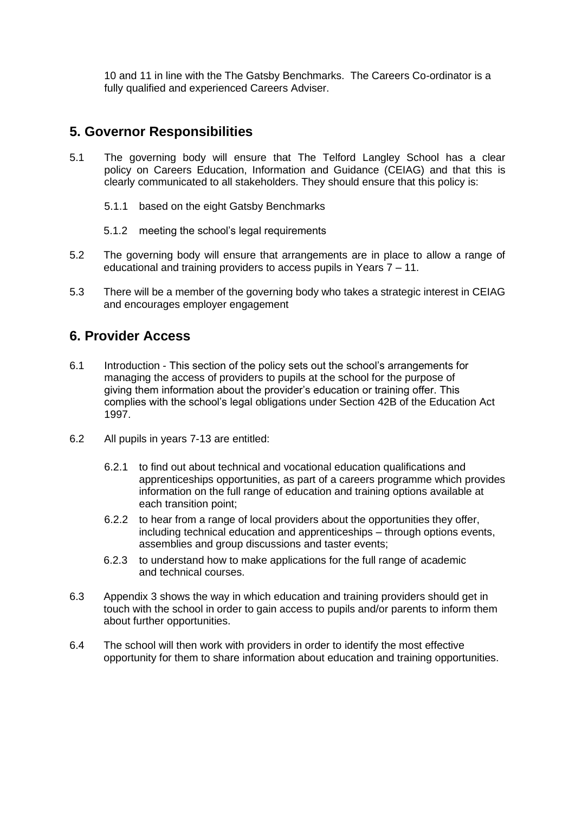10 and 11 in line with the The Gatsby Benchmarks. The Careers Co-ordinator is a fully qualified and experienced Careers Adviser.

### <span id="page-5-0"></span>**5. Governor Responsibilities**

- 5.1 The governing body will ensure that The Telford Langley School has a clear policy on Careers Education, Information and Guidance (CEIAG) and that this is clearly communicated to all stakeholders. They should ensure that this policy is:
	- 5.1.1 based on the eight Gatsby Benchmarks
	- 5.1.2 meeting the school's legal requirements
- 5.2 The governing body will ensure that arrangements are in place to allow a range of educational and training providers to access pupils in Years 7 – 11.
- 5.3 There will be a member of the governing body who takes a strategic interest in CEIAG and encourages employer engagement

### <span id="page-5-1"></span>**6. Provider Access**

- 6.1 Introduction This section of the policy sets out the school's arrangements for managing the access of providers to pupils at the school for the purpose of giving them information about the provider's education or training offer. This complies with the school's legal obligations under Section 42B of the Education Act 1997.
- 6.2 All pupils in years 7-13 are entitled:
	- 6.2.1 to find out about technical and vocational education qualifications and apprenticeships opportunities, as part of a careers programme which provides information on the full range of education and training options available at each transition point;
	- 6.2.2 to hear from a range of local providers about the opportunities they offer, including technical education and apprenticeships – through options events, assemblies and group discussions and taster events;
	- 6.2.3 to understand how to make applications for the full range of academic and technical courses.
- 6.3 Appendix 3 shows the way in which education and training providers should get in touch with the school in order to gain access to pupils and/or parents to inform them about further opportunities.
- 6.4 The school will then work with providers in order to identify the most effective opportunity for them to share information about education and training opportunities.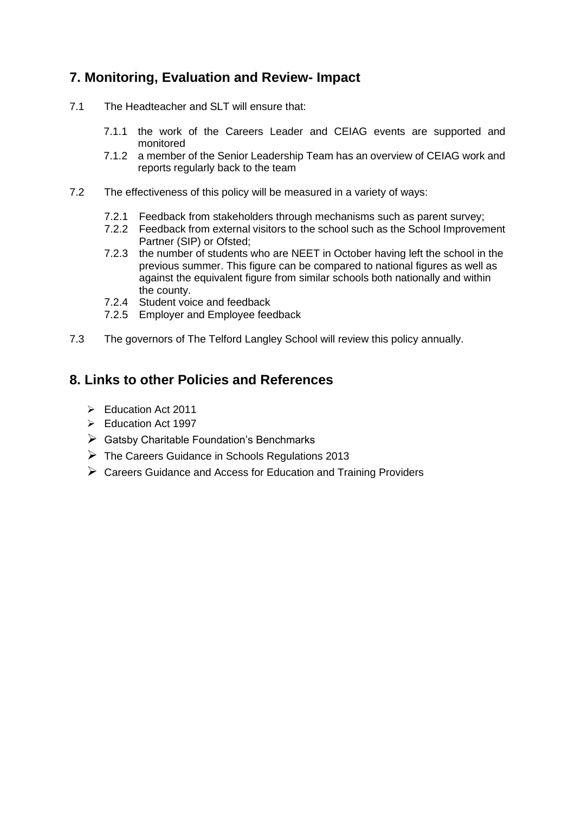## <span id="page-6-0"></span>**7. Monitoring, Evaluation and Review- Impact**

- 7.1 The Headteacher and SLT will ensure that:
	- 7.1.1 the work of the Careers Leader and CEIAG events are supported and monitored
	- 7.1.2 a member of the Senior Leadership Team has an overview of CEIAG work and reports regularly back to the team
- 7.2 The effectiveness of this policy will be measured in a variety of ways:
	- 7.2.1 Feedback from stakeholders through mechanisms such as parent survey;
	- 7.2.2 Feedback from external visitors to the school such as the School Improvement Partner (SIP) or Ofsted;
	- 7.2.3 the number of students who are NEET in October having left the school in the previous summer. This figure can be compared to national figures as well as against the equivalent figure from similar schools both nationally and within the county.
	- 7.2.4 Student voice and feedback
	- 7.2.5 Employer and Employee feedback
- 7.3 The governors of The Telford Langley School will review this policy annually.

### <span id="page-6-1"></span>**8. Links to other Policies and References**

- ➢ Education Act 2011
- ➢ Education Act 1997
- $\triangleright$  Gatsby Charitable Foundation's Benchmarks
- $\triangleright$  The Careers Guidance in Schools Regulations 2013
- ➢ Careers Guidance and Access for Education and Training Providers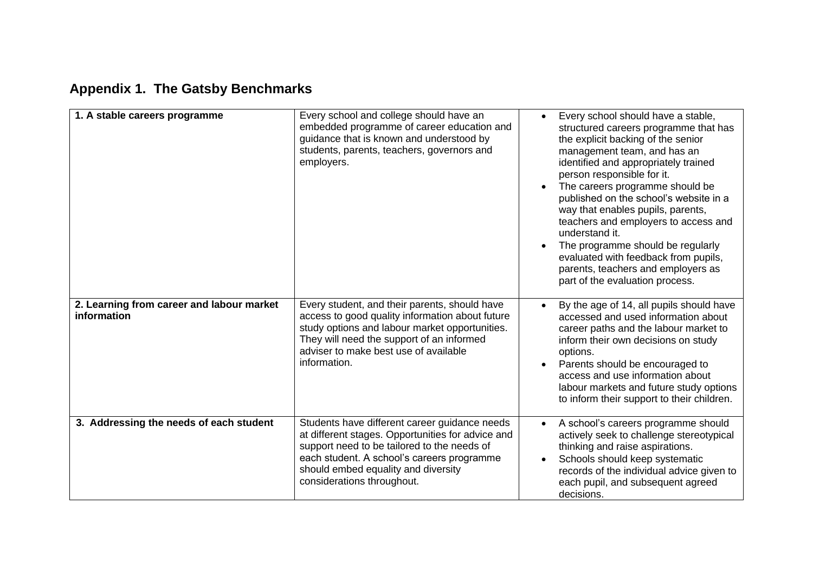# **Appendix 1. The Gatsby Benchmarks**

<span id="page-7-0"></span>

| 1. A stable careers programme                            | Every school and college should have an<br>embedded programme of career education and<br>guidance that is known and understood by<br>students, parents, teachers, governors and<br>employers.                                                                        | Every school should have a stable,<br>$\bullet$<br>structured careers programme that has<br>the explicit backing of the senior<br>management team, and has an<br>identified and appropriately trained<br>person responsible for it.<br>The careers programme should be<br>published on the school's website in a<br>way that enables pupils, parents,<br>teachers and employers to access and<br>understand it.<br>The programme should be regularly<br>evaluated with feedback from pupils,<br>parents, teachers and employers as<br>part of the evaluation process. |
|----------------------------------------------------------|----------------------------------------------------------------------------------------------------------------------------------------------------------------------------------------------------------------------------------------------------------------------|-----------------------------------------------------------------------------------------------------------------------------------------------------------------------------------------------------------------------------------------------------------------------------------------------------------------------------------------------------------------------------------------------------------------------------------------------------------------------------------------------------------------------------------------------------------------------|
| 2. Learning from career and labour market<br>information | Every student, and their parents, should have<br>access to good quality information about future<br>study options and labour market opportunities.<br>They will need the support of an informed<br>adviser to make best use of available<br>information.             | By the age of 14, all pupils should have<br>$\bullet$<br>accessed and used information about<br>career paths and the labour market to<br>inform their own decisions on study<br>options.<br>Parents should be encouraged to<br>access and use information about<br>labour markets and future study options<br>to inform their support to their children.                                                                                                                                                                                                              |
| 3. Addressing the needs of each student                  | Students have different career guidance needs<br>at different stages. Opportunities for advice and<br>support need to be tailored to the needs of<br>each student. A school's careers programme<br>should embed equality and diversity<br>considerations throughout. | A school's careers programme should<br>$\bullet$<br>actively seek to challenge stereotypical<br>thinking and raise aspirations.<br>Schools should keep systematic<br>records of the individual advice given to<br>each pupil, and subsequent agreed<br>decisions.                                                                                                                                                                                                                                                                                                     |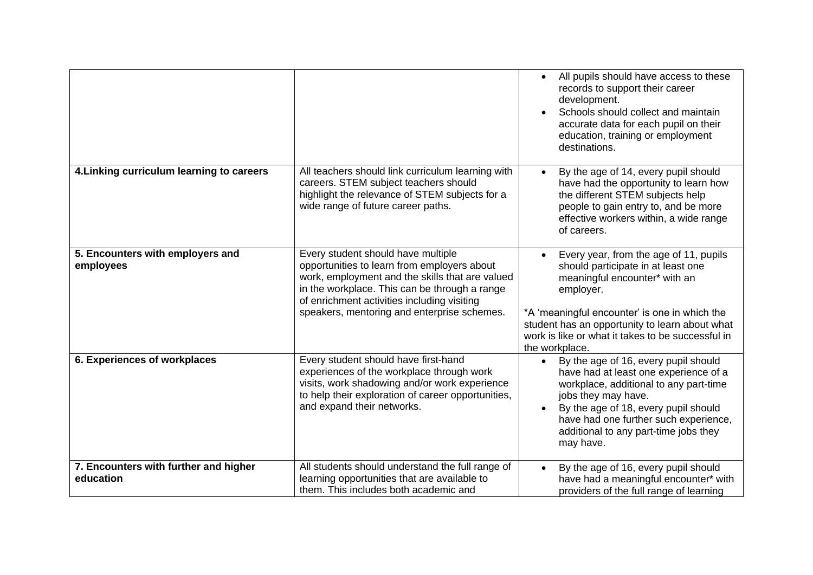|                                                    |                                                                                                                                                                                                                                                                                     | All pupils should have access to these<br>$\bullet$<br>records to support their career<br>development.<br>Schools should collect and maintain<br>accurate data for each pupil on their<br>education, training or employment<br>destinations.                                                         |
|----------------------------------------------------|-------------------------------------------------------------------------------------------------------------------------------------------------------------------------------------------------------------------------------------------------------------------------------------|------------------------------------------------------------------------------------------------------------------------------------------------------------------------------------------------------------------------------------------------------------------------------------------------------|
| 4. Linking curriculum learning to careers          | All teachers should link curriculum learning with<br>careers. STEM subject teachers should<br>highlight the relevance of STEM subjects for a<br>wide range of future career paths.                                                                                                  | By the age of 14, every pupil should<br>have had the opportunity to learn how<br>the different STEM subjects help<br>people to gain entry to, and be more<br>effective workers within, a wide range<br>of careers.                                                                                   |
| 5. Encounters with employers and<br>employees      | Every student should have multiple<br>opportunities to learn from employers about<br>work, employment and the skills that are valued<br>in the workplace. This can be through a range<br>of enrichment activities including visiting<br>speakers, mentoring and enterprise schemes. | Every year, from the age of 11, pupils<br>should participate in at least one<br>meaningful encounter* with an<br>employer.<br>*A 'meaningful encounter' is one in which the<br>student has an opportunity to learn about what<br>work is like or what it takes to be successful in<br>the workplace. |
| 6. Experiences of workplaces                       | Every student should have first-hand<br>experiences of the workplace through work<br>visits, work shadowing and/or work experience<br>to help their exploration of career opportunities,<br>and expand their networks.                                                              | By the age of 16, every pupil should<br>have had at least one experience of a<br>workplace, additional to any part-time<br>jobs they may have.<br>By the age of 18, every pupil should<br>$\bullet$<br>have had one further such experience,<br>additional to any part-time jobs they<br>may have.   |
| 7. Encounters with further and higher<br>education | All students should understand the full range of<br>learning opportunities that are available to<br>them. This includes both academic and                                                                                                                                           | By the age of 16, every pupil should<br>have had a meaningful encounter* with<br>providers of the full range of learning                                                                                                                                                                             |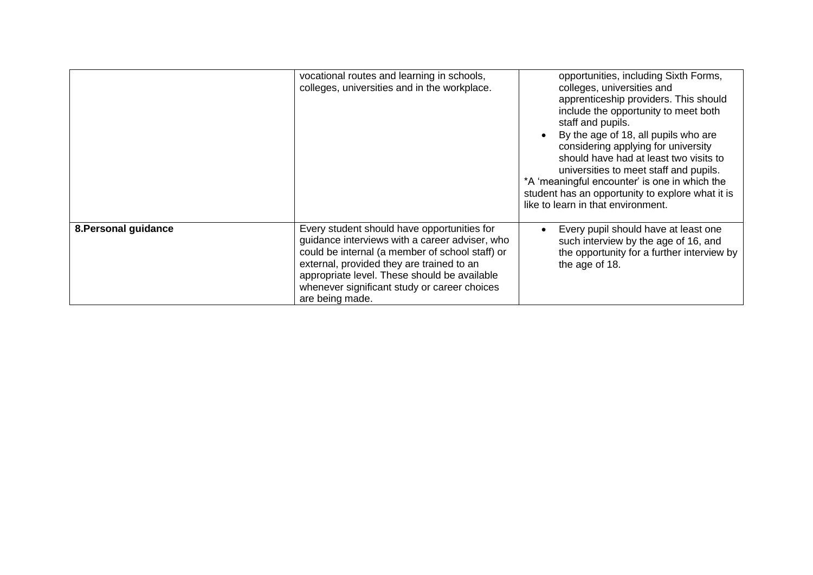|                      | vocational routes and learning in schools,<br>colleges, universities and in the workplace.                                                                                                                                                                                                                       | opportunities, including Sixth Forms,<br>colleges, universities and<br>apprenticeship providers. This should<br>include the opportunity to meet both<br>staff and pupils.<br>By the age of 18, all pupils who are<br>$\bullet$<br>considering applying for university<br>should have had at least two visits to<br>universities to meet staff and pupils.<br>*A 'meaningful encounter' is one in which the<br>student has an opportunity to explore what it is<br>like to learn in that environment. |
|----------------------|------------------------------------------------------------------------------------------------------------------------------------------------------------------------------------------------------------------------------------------------------------------------------------------------------------------|------------------------------------------------------------------------------------------------------------------------------------------------------------------------------------------------------------------------------------------------------------------------------------------------------------------------------------------------------------------------------------------------------------------------------------------------------------------------------------------------------|
| 8. Personal guidance | Every student should have opportunities for<br>guidance interviews with a career adviser, who<br>could be internal (a member of school staff) or<br>external, provided they are trained to an<br>appropriate level. These should be available<br>whenever significant study or career choices<br>are being made. | Every pupil should have at least one<br>$\bullet$<br>such interview by the age of 16, and<br>the opportunity for a further interview by<br>the age of 18.                                                                                                                                                                                                                                                                                                                                            |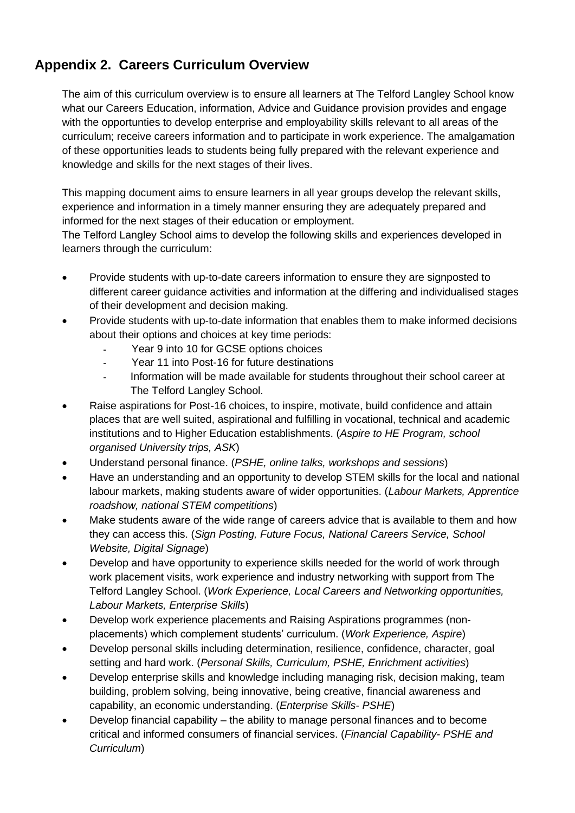# <span id="page-10-0"></span>**Appendix 2. Careers Curriculum Overview**

The aim of this curriculum overview is to ensure all learners at The Telford Langley School know what our Careers Education, information, Advice and Guidance provision provides and engage with the opportunties to develop enterprise and employability skills relevant to all areas of the curriculum; receive careers information and to participate in work experience. The amalgamation of these opportunities leads to students being fully prepared with the relevant experience and knowledge and skills for the next stages of their lives.

This mapping document aims to ensure learners in all year groups develop the relevant skills, experience and information in a timely manner ensuring they are adequately prepared and informed for the next stages of their education or employment.

The Telford Langley School aims to develop the following skills and experiences developed in learners through the curriculum:

- Provide students with up-to-date careers information to ensure they are signposted to different career guidance activities and information at the differing and individualised stages of their development and decision making.
- Provide students with up-to-date information that enables them to make informed decisions about their options and choices at key time periods:
	- Year 9 into 10 for GCSE options choices
	- Year 11 into Post-16 for future destinations
	- Information will be made available for students throughout their school career at The Telford Langley School.
- Raise aspirations for Post-16 choices, to inspire, motivate, build confidence and attain places that are well suited, aspirational and fulfilling in vocational, technical and academic institutions and to Higher Education establishments. (*Aspire to HE Program, school organised University trips, ASK*)
- Understand personal finance. (*PSHE, online talks, workshops and sessions*)
- Have an understanding and an opportunity to develop STEM skills for the local and national labour markets, making students aware of wider opportunities. (*Labour Markets, Apprentice roadshow, national STEM competitions*)
- Make students aware of the wide range of careers advice that is available to them and how they can access this. (*Sign Posting, Future Focus, National Careers Service, School Website, Digital Signage*)
- Develop and have opportunity to experience skills needed for the world of work through work placement visits, work experience and industry networking with support from The Telford Langley School. (*Work Experience, Local Careers and Networking opportunities, Labour Markets, Enterprise Skills*)
- Develop work experience placements and Raising Aspirations programmes (nonplacements) which complement students' curriculum. (*Work Experience, Aspire*)
- Develop personal skills including determination, resilience, confidence, character, goal setting and hard work. (*Personal Skills, Curriculum, PSHE, Enrichment activities*)
- Develop enterprise skills and knowledge including managing risk, decision making, team building, problem solving, being innovative, being creative, financial awareness and capability, an economic understanding. (*Enterprise Skills- PSHE*)
- Develop financial capability the ability to manage personal finances and to become critical and informed consumers of financial services. (*Financial Capability- PSHE and Curriculum*)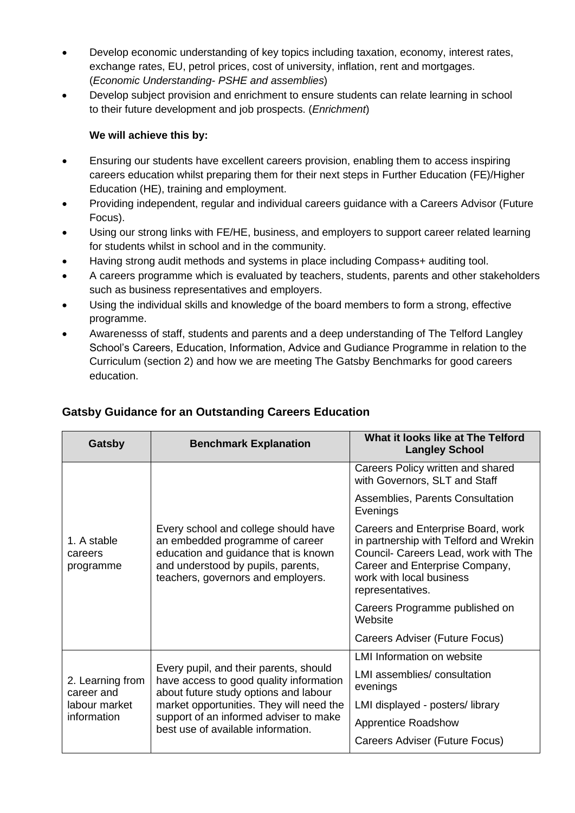- Develop economic understanding of key topics including taxation, economy, interest rates, exchange rates, EU, petrol prices, cost of university, inflation, rent and mortgages. (*Economic Understanding- PSHE and assemblies*)
- Develop subject provision and enrichment to ensure students can relate learning in school to their future development and job prospects. (*Enrichment*)

#### **We will achieve this by:**

- Ensuring our students have excellent careers provision, enabling them to access inspiring careers education whilst preparing them for their next steps in Further Education (FE)/Higher Education (HE), training and employment.
- Providing independent, regular and individual careers guidance with a Careers Advisor (Future Focus).
- Using our strong links with FE/HE, business, and employers to support career related learning for students whilst in school and in the community.
- Having strong audit methods and systems in place including Compass+ auditing tool.
- A careers programme which is evaluated by teachers, students, parents and other stakeholders such as business representatives and employers.
- Using the individual skills and knowledge of the board members to form a strong, effective programme.
- Awarenesss of staff, students and parents and a deep understanding of The Telford Langley School's Careers, Education, Information, Advice and Gudiance Programme in relation to the Curriculum (section 2) and how we are meeting The Gatsby Benchmarks for good careers education.

| Gatsby                                          | <b>Benchmark Explanation</b>                                                                                                                                                                                                                           | What it looks like at The Telford<br><b>Langley School</b>                                                                                                                                             |
|-------------------------------------------------|--------------------------------------------------------------------------------------------------------------------------------------------------------------------------------------------------------------------------------------------------------|--------------------------------------------------------------------------------------------------------------------------------------------------------------------------------------------------------|
|                                                 |                                                                                                                                                                                                                                                        | Careers Policy written and shared<br>with Governors, SLT and Staff                                                                                                                                     |
|                                                 |                                                                                                                                                                                                                                                        | Assemblies, Parents Consultation<br>Evenings                                                                                                                                                           |
| 1. A stable<br>careers<br>programme             | Every school and college should have<br>an embedded programme of career<br>education and guidance that is known<br>and understood by pupils, parents,<br>teachers, governors and employers.                                                            | Careers and Enterprise Board, work<br>in partnership with Telford and Wrekin<br>Council- Careers Lead, work with The<br>Career and Enterprise Company,<br>work with local business<br>representatives. |
|                                                 |                                                                                                                                                                                                                                                        | Careers Programme published on<br>Website                                                                                                                                                              |
|                                                 |                                                                                                                                                                                                                                                        | Careers Adviser (Future Focus)                                                                                                                                                                         |
| 2. Learning from<br>career and<br>labour market | Every pupil, and their parents, should<br>have access to good quality information<br>about future study options and labour<br>market opportunities. They will need the<br>support of an informed adviser to make<br>best use of available information. | <b>LMI Information on website</b>                                                                                                                                                                      |
|                                                 |                                                                                                                                                                                                                                                        | LMI assemblies/consultation<br>evenings                                                                                                                                                                |
|                                                 |                                                                                                                                                                                                                                                        | LMI displayed - posters/library                                                                                                                                                                        |
| information                                     |                                                                                                                                                                                                                                                        | <b>Apprentice Roadshow</b>                                                                                                                                                                             |
|                                                 |                                                                                                                                                                                                                                                        | Careers Adviser (Future Focus)                                                                                                                                                                         |

### **Gatsby Guidance for an Outstanding Careers Education**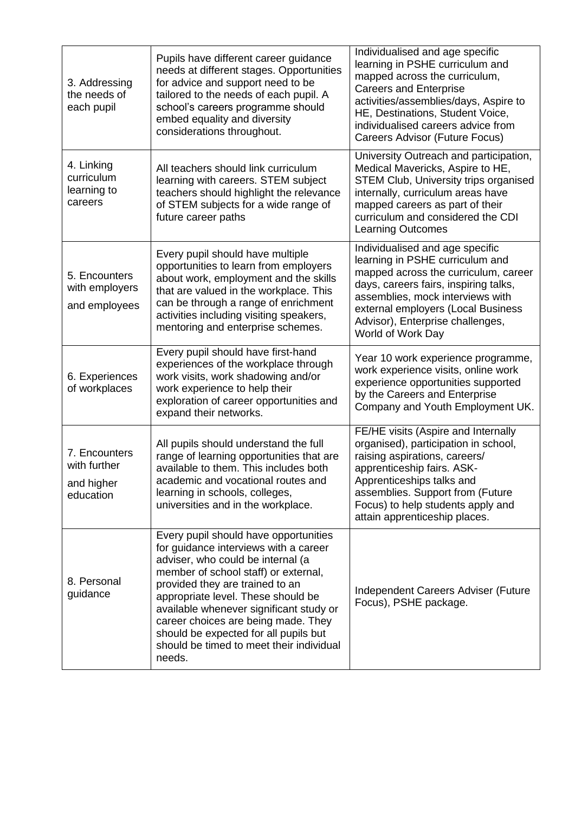| 3. Addressing<br>the needs of<br>each pupil              | Pupils have different career guidance<br>needs at different stages. Opportunities<br>for advice and support need to be<br>tailored to the needs of each pupil. A<br>school's careers programme should<br>embed equality and diversity<br>considerations throughout.                                                                                                                                                   | Individualised and age specific<br>learning in PSHE curriculum and<br>mapped across the curriculum,<br><b>Careers and Enterprise</b><br>activities/assemblies/days, Aspire to<br>HE, Destinations, Student Voice,<br>individualised careers advice from<br>Careers Advisor (Future Focus) |
|----------------------------------------------------------|-----------------------------------------------------------------------------------------------------------------------------------------------------------------------------------------------------------------------------------------------------------------------------------------------------------------------------------------------------------------------------------------------------------------------|-------------------------------------------------------------------------------------------------------------------------------------------------------------------------------------------------------------------------------------------------------------------------------------------|
| 4. Linking<br>curriculum<br>learning to<br>careers       | All teachers should link curriculum<br>learning with careers. STEM subject<br>teachers should highlight the relevance<br>of STEM subjects for a wide range of<br>future career paths                                                                                                                                                                                                                                  | University Outreach and participation,<br>Medical Mavericks, Aspire to HE,<br><b>STEM Club, University trips organised</b><br>internally, curriculum areas have<br>mapped careers as part of their<br>curriculum and considered the CDI<br><b>Learning Outcomes</b>                       |
| 5. Encounters<br>with employers<br>and employees         | Every pupil should have multiple<br>opportunities to learn from employers<br>about work, employment and the skills<br>that are valued in the workplace. This<br>can be through a range of enrichment<br>activities including visiting speakers,<br>mentoring and enterprise schemes.                                                                                                                                  | Individualised and age specific<br>learning in PSHE curriculum and<br>mapped across the curriculum, career<br>days, careers fairs, inspiring talks,<br>assemblies, mock interviews with<br>external employers (Local Business<br>Advisor), Enterprise challenges,<br>World of Work Day    |
| 6. Experiences<br>of workplaces                          | Every pupil should have first-hand<br>experiences of the workplace through<br>work visits, work shadowing and/or<br>work experience to help their<br>exploration of career opportunities and<br>expand their networks.                                                                                                                                                                                                | Year 10 work experience programme,<br>work experience visits, online work<br>experience opportunities supported<br>by the Careers and Enterprise<br>Company and Youth Employment UK.                                                                                                      |
| 7. Encounters<br>with further<br>and higher<br>education | All pupils should understand the full<br>range of learning opportunities that are<br>available to them. This includes both<br>academic and vocational routes and<br>learning in schools, colleges,<br>universities and in the workplace.                                                                                                                                                                              | FE/HE visits (Aspire and Internally<br>organised), participation in school,<br>raising aspirations, careers/<br>apprenticeship fairs. ASK-<br>Apprenticeships talks and<br>assemblies. Support from (Future<br>Focus) to help students apply and<br>attain apprenticeship places.         |
| 8. Personal<br>guidance                                  | Every pupil should have opportunities<br>for guidance interviews with a career<br>adviser, who could be internal (a<br>member of school staff) or external,<br>provided they are trained to an<br>appropriate level. These should be<br>available whenever significant study or<br>career choices are being made. They<br>should be expected for all pupils but<br>should be timed to meet their individual<br>needs. | Independent Careers Adviser (Future<br>Focus), PSHE package.                                                                                                                                                                                                                              |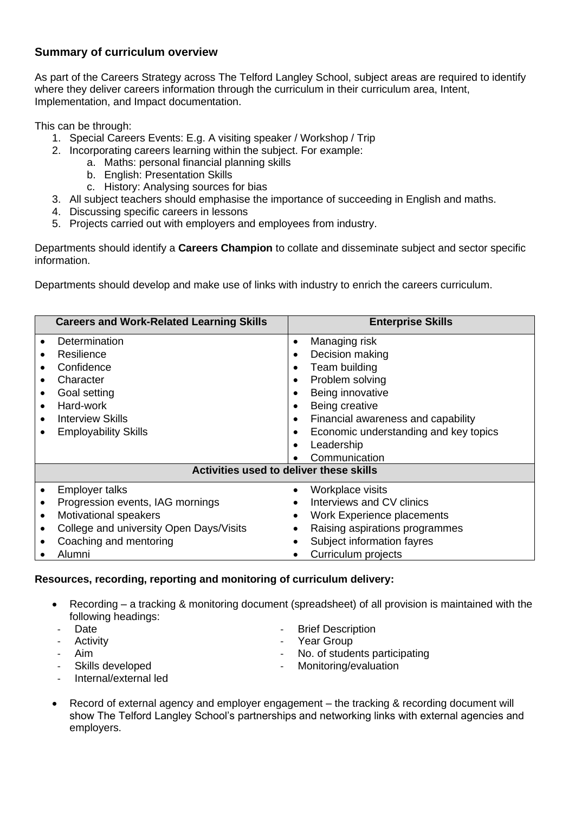#### **Summary of curriculum overview**

As part of the Careers Strategy across The Telford Langley School, subject areas are required to identify where they deliver careers information through the curriculum in their curriculum area, Intent, Implementation, and Impact documentation.

This can be through:

- 1. Special Careers Events: E.g. A visiting speaker / Workshop / Trip
- 2. Incorporating careers learning within the subject. For example:
	- a. Maths: personal financial planning skills
		- b. English: Presentation Skills
		- c. History: Analysing sources for bias
- 3. All subject teachers should emphasise the importance of succeeding in English and maths.
- 4. Discussing specific careers in lessons
- 5. Projects carried out with employers and employees from industry.

Departments should identify a **Careers Champion** to collate and disseminate subject and sector specific information.

Departments should develop and make use of links with industry to enrich the careers curriculum.

|                                     | <b>Careers and Work-Related Learning Skills</b>                                                                | <b>Enterprise Skills</b>                                                                                                                                                |  |
|-------------------------------------|----------------------------------------------------------------------------------------------------------------|-------------------------------------------------------------------------------------------------------------------------------------------------------------------------|--|
| $\bullet$<br>$\bullet$<br>$\bullet$ | Determination<br>Resilience<br>Confidence<br>Character<br>Goal setting<br>Hard-work<br><b>Interview Skills</b> | Managing risk<br>$\bullet$<br>Decision making<br>Team building<br>Problem solving<br>Being innovative<br>Being creative<br>٠<br>Financial awareness and capability<br>٠ |  |
|                                     | <b>Employability Skills</b>                                                                                    | Economic understanding and key topics<br>٠                                                                                                                              |  |
|                                     |                                                                                                                | Leadership<br>$\bullet$<br>Communication                                                                                                                                |  |
|                                     | Activities used to deliver these skills                                                                        |                                                                                                                                                                         |  |
|                                     |                                                                                                                |                                                                                                                                                                         |  |
|                                     | <b>Employer talks</b>                                                                                          | Workplace visits                                                                                                                                                        |  |
|                                     | Progression events, IAG mornings                                                                               | Interviews and CV clinics                                                                                                                                               |  |
|                                     | Motivational speakers                                                                                          | Work Experience placements                                                                                                                                              |  |
|                                     | College and university Open Days/Visits                                                                        | Raising aspirations programmes                                                                                                                                          |  |
|                                     | Coaching and mentoring                                                                                         | Subject information fayres                                                                                                                                              |  |
|                                     | Alumni                                                                                                         | Curriculum projects                                                                                                                                                     |  |

#### **Resources, recording, reporting and monitoring of curriculum delivery:**

- Recording a tracking & monitoring document (spreadsheet) of all provision is maintained with the following headings:
- **Date**
- Activity
- Aim
- Skills developed
- **Brief Description**
- Year Group
- No. of students participating
- Monitoring/evaluation
- Internal/external led
- Record of external agency and employer engagement the tracking & recording document will show The Telford Langley School's partnerships and networking links with external agencies and employers.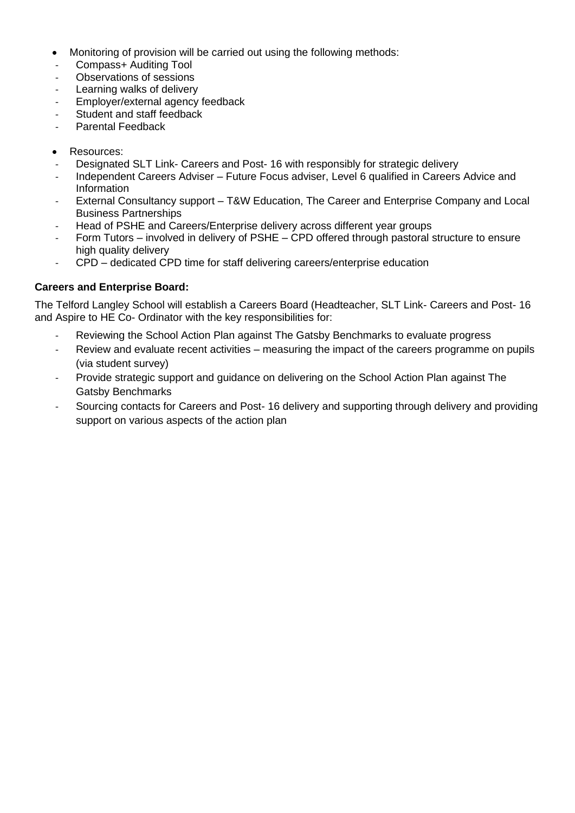- Monitoring of provision will be carried out using the following methods:
- Compass+ Auditing Tool
- Observations of sessions
- Learning walks of delivery
- Employer/external agency feedback
- Student and staff feedback
- Parental Feedback
- Resources:
- Designated SLT Link- Careers and Post- 16 with responsibly for strategic delivery
- Independent Careers Adviser Future Focus adviser, Level 6 qualified in Careers Advice and Information
- External Consultancy support T&W Education, The Career and Enterprise Company and Local Business Partnerships
- Head of PSHE and Careers/Enterprise delivery across different year groups
- Form Tutors involved in delivery of PSHE CPD offered through pastoral structure to ensure high quality delivery
- CPD dedicated CPD time for staff delivering careers/enterprise education

#### **Careers and Enterprise Board:**

The Telford Langley School will establish a Careers Board (Headteacher, SLT Link- Careers and Post- 16 and Aspire to HE Co- Ordinator with the key responsibilities for:

- Reviewing the School Action Plan against The Gatsby Benchmarks to evaluate progress
- Review and evaluate recent activities measuring the impact of the careers programme on pupils (via student survey)
- Provide strategic support and guidance on delivering on the School Action Plan against The Gatsby Benchmarks
- Sourcing contacts for Careers and Post- 16 delivery and supporting through delivery and providing support on various aspects of the action plan